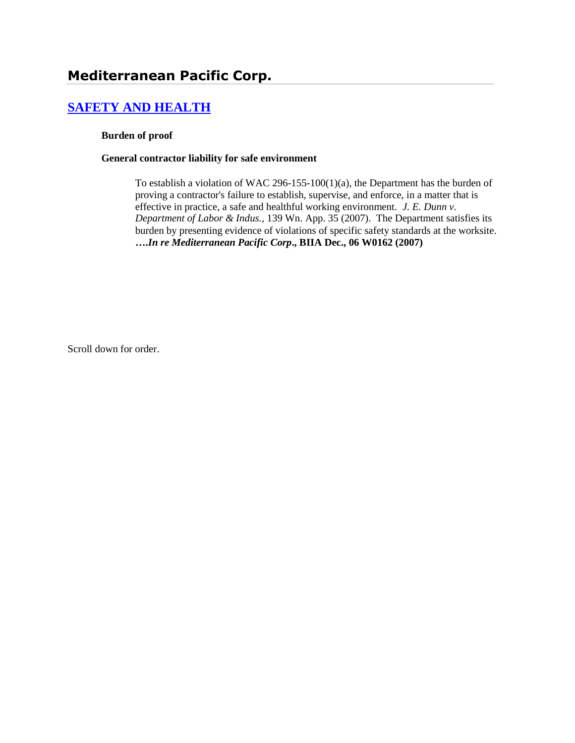# **Mediterranean Pacific Corp.**

# **[SAFETY AND HEALTH](http://www.biia.wa.gov/SDSubjectIndex.html#SAFETY_AND_HEALTH)**

#### **Burden of proof**

#### **General contractor liability for safe environment**

To establish a violation of WAC 296-155-100(1)(a), the Department has the burden of proving a contractor's failure to establish, supervise, and enforce, in a matter that is effective in practice, a safe and healthful working environment. *J. E. Dunn v. Department of Labor & Indus.,* 139 Wn. App. 35 (2007). The Department satisfies its burden by presenting evidence of violations of specific safety standards at the worksite. **….***In re Mediterranean Pacific Corp***., BIIA Dec., 06 W0162 (2007)**

Scroll down for order.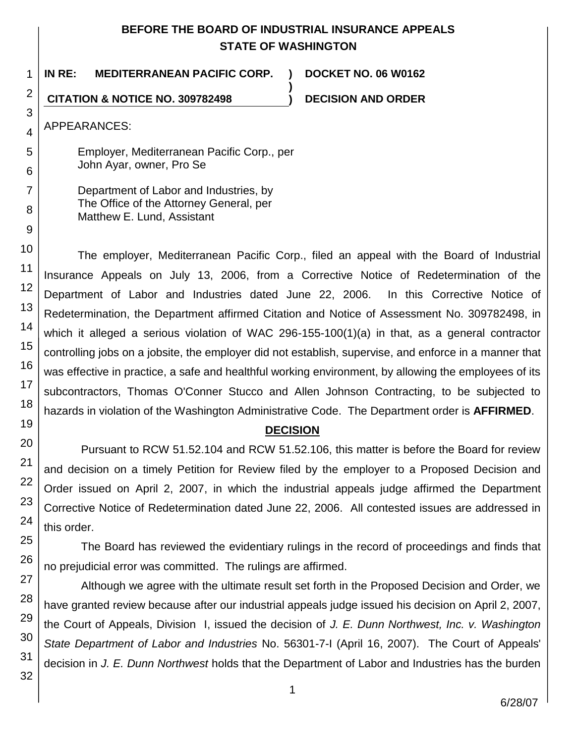# **BEFORE THE BOARD OF INDUSTRIAL INSURANCE APPEALS STATE OF WASHINGTON**

**)**

1 **IN RE: MEDITERRANEAN PACIFIC CORP. ) DOCKET NO. 06 W0162**

**CITATION & NOTICE NO. 309782498 ) DECISION AND ORDER**

APPEARANCES:

2

3

4

5

Employer, Mediterranean Pacific Corp., per John Ayar, owner, Pro Se

Department of Labor and Industries, by The Office of the Attorney General, per Matthew E. Lund, Assistant

The employer, Mediterranean Pacific Corp., filed an appeal with the Board of Industrial Insurance Appeals on July 13, 2006, from a Corrective Notice of Redetermination of the Department of Labor and Industries dated June 22, 2006. In this Corrective Notice of Redetermination, the Department affirmed Citation and Notice of Assessment No. 309782498, in which it alleged a serious violation of WAC 296-155-100(1)(a) in that, as a general contractor controlling jobs on a jobsite, the employer did not establish, supervise, and enforce in a manner that was effective in practice, a safe and healthful working environment, by allowing the employees of its subcontractors, Thomas O'Conner Stucco and Allen Johnson Contracting, to be subjected to hazards in violation of the Washington Administrative Code. The Department order is **AFFIRMED**.

# **DECISION**

Pursuant to RCW 51.52.104 and RCW 51.52.106, this matter is before the Board for review and decision on a timely Petition for Review filed by the employer to a Proposed Decision and Order issued on April 2, 2007, in which the industrial appeals judge affirmed the Department Corrective Notice of Redetermination dated June 22, 2006. All contested issues are addressed in this order.

The Board has reviewed the evidentiary rulings in the record of proceedings and finds that no prejudicial error was committed. The rulings are affirmed.

Although we agree with the ultimate result set forth in the Proposed Decision and Order, we have granted review because after our industrial appeals judge issued his decision on April 2, 2007, the Court of Appeals, Division I, issued the decision of *J. E. Dunn Northwest, Inc. v. Washington State Department of Labor and Industries* No. 56301-7-I (April 16, 2007). The Court of Appeals' decision in *J. E. Dunn Northwest* holds that the Department of Labor and Industries has the burden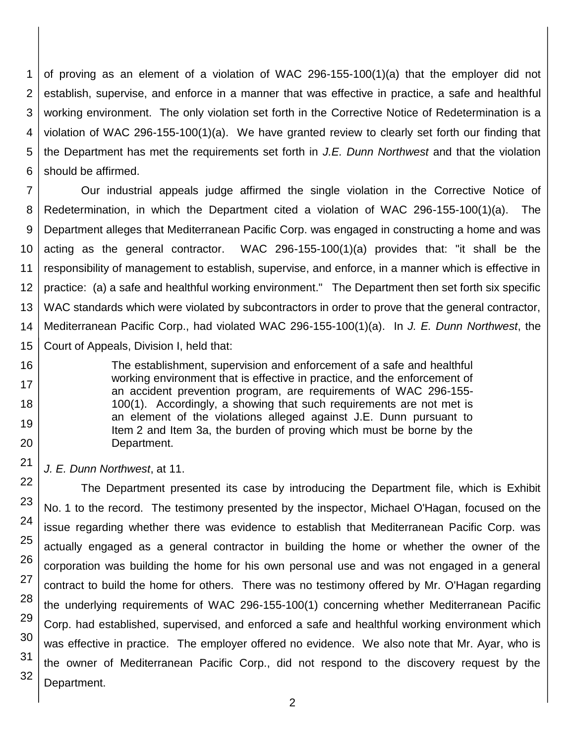1 2 3 4 5 6 of proving as an element of a violation of WAC 296-155-100(1)(a) that the employer did not establish, supervise, and enforce in a manner that was effective in practice, a safe and healthful working environment. The only violation set forth in the Corrective Notice of Redetermination is a violation of WAC 296-155-100(1)(a). We have granted review to clearly set forth our finding that the Department has met the requirements set forth in *J.E. Dunn Northwest* and that the violation should be affirmed.

7 8 9 10 11 12 13 14 15 Our industrial appeals judge affirmed the single violation in the Corrective Notice of Redetermination, in which the Department cited a violation of WAC 296-155-100(1)(a). The Department alleges that Mediterranean Pacific Corp. was engaged in constructing a home and was acting as the general contractor. WAC 296-155-100(1)(a) provides that: "it shall be the responsibility of management to establish, supervise, and enforce, in a manner which is effective in practice: (a) a safe and healthful working environment." The Department then set forth six specific WAC standards which were violated by subcontractors in order to prove that the general contractor, Mediterranean Pacific Corp., had violated WAC 296-155-100(1)(a). In *J. E. Dunn Northwest*, the Court of Appeals, Division I, held that:

> The establishment, supervision and enforcement of a safe and healthful working environment that is effective in practice, and the enforcement of an accident prevention program, are requirements of WAC 296-155- 100(1). Accordingly, a showing that such requirements are not met is an element of the violations alleged against J.E. Dunn pursuant to Item 2 and Item 3a, the burden of proving which must be borne by the Department.

*J. E. Dunn Northwest*, at 11.

16

17

18

19

20

21

23

24

25

26

27

28

29 30

31

32

22 The Department presented its case by introducing the Department file, which is Exhibit No. 1 to the record. The testimony presented by the inspector, Michael O'Hagan, focused on the issue regarding whether there was evidence to establish that Mediterranean Pacific Corp. was actually engaged as a general contractor in building the home or whether the owner of the corporation was building the home for his own personal use and was not engaged in a general contract to build the home for others. There was no testimony offered by Mr. O'Hagan regarding the underlying requirements of WAC 296-155-100(1) concerning whether Mediterranean Pacific Corp. had established, supervised, and enforced a safe and healthful working environment which was effective in practice. The employer offered no evidence. We also note that Mr. Ayar, who is the owner of Mediterranean Pacific Corp., did not respond to the discovery request by the Department.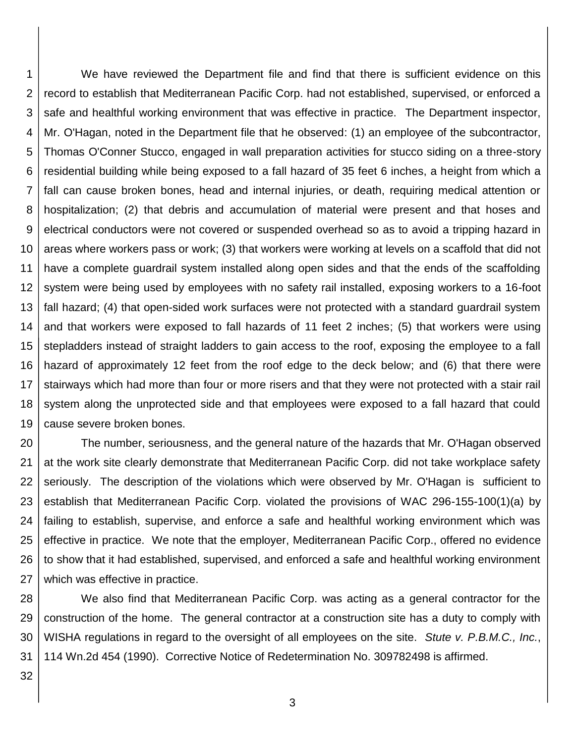1 2 3 4 5 6 7 8 9 10 11 12 13 14 15 16 17 18 19 We have reviewed the Department file and find that there is sufficient evidence on this record to establish that Mediterranean Pacific Corp. had not established, supervised, or enforced a safe and healthful working environment that was effective in practice. The Department inspector, Mr. O'Hagan, noted in the Department file that he observed: (1) an employee of the subcontractor, Thomas O'Conner Stucco, engaged in wall preparation activities for stucco siding on a three-story residential building while being exposed to a fall hazard of 35 feet 6 inches, a height from which a fall can cause broken bones, head and internal injuries, or death, requiring medical attention or hospitalization; (2) that debris and accumulation of material were present and that hoses and electrical conductors were not covered or suspended overhead so as to avoid a tripping hazard in areas where workers pass or work; (3) that workers were working at levels on a scaffold that did not have a complete guardrail system installed along open sides and that the ends of the scaffolding system were being used by employees with no safety rail installed, exposing workers to a 16-foot fall hazard; (4) that open-sided work surfaces were not protected with a standard guardrail system and that workers were exposed to fall hazards of 11 feet 2 inches; (5) that workers were using stepladders instead of straight ladders to gain access to the roof, exposing the employee to a fall hazard of approximately 12 feet from the roof edge to the deck below; and (6) that there were stairways which had more than four or more risers and that they were not protected with a stair rail system along the unprotected side and that employees were exposed to a fall hazard that could cause severe broken bones.

20 21 22 23 24 25 26 27 The number, seriousness, and the general nature of the hazards that Mr. O'Hagan observed at the work site clearly demonstrate that Mediterranean Pacific Corp. did not take workplace safety seriously. The description of the violations which were observed by Mr. O'Hagan is sufficient to establish that Mediterranean Pacific Corp. violated the provisions of WAC 296-155-100(1)(a) by failing to establish, supervise, and enforce a safe and healthful working environment which was effective in practice. We note that the employer, Mediterranean Pacific Corp., offered no evidence to show that it had established, supervised, and enforced a safe and healthful working environment which was effective in practice.

28 29 30 31 We also find that Mediterranean Pacific Corp. was acting as a general contractor for the construction of the home. The general contractor at a construction site has a duty to comply with WISHA regulations in regard to the oversight of all employees on the site. *Stute v. P.B.M.C., Inc.*, 114 Wn.2d 454 (1990). Corrective Notice of Redetermination No. 309782498 is affirmed.

32

3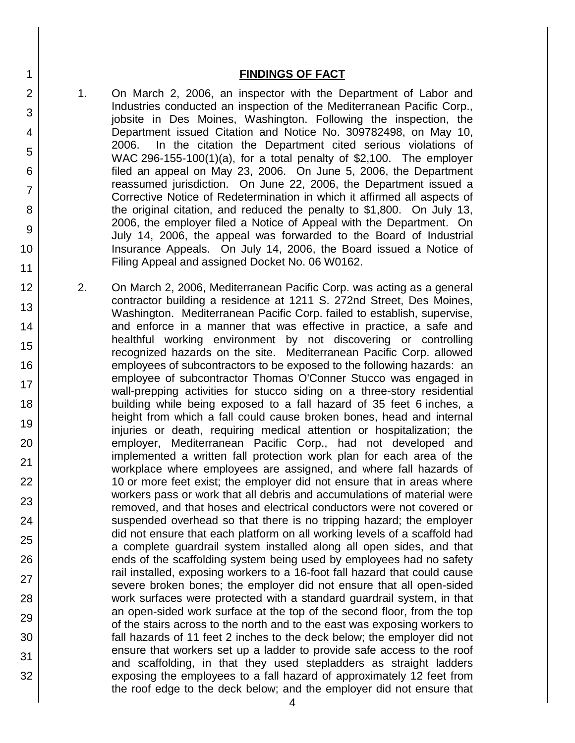### **FINDINGS OF FACT**

1 2

3

4

5

6

7

8

9

10

11

12

13

14

15

16

17 18

19

20

21 22

23

24

25

26

27

28

29

30

31

32

- 1. On March 2, 2006, an inspector with the Department of Labor and Industries conducted an inspection of the Mediterranean Pacific Corp., jobsite in Des Moines, Washington. Following the inspection, the Department issued Citation and Notice No. 309782498, on May 10, 2006. In the citation the Department cited serious violations of WAC 296-155-100(1)(a), for a total penalty of \$2,100. The employer filed an appeal on May 23, 2006. On June 5, 2006, the Department reassumed jurisdiction. On June 22, 2006, the Department issued a Corrective Notice of Redetermination in which it affirmed all aspects of the original citation, and reduced the penalty to \$1,800. On July 13, 2006, the employer filed a Notice of Appeal with the Department. On July 14, 2006, the appeal was forwarded to the Board of Industrial Insurance Appeals. On July 14, 2006, the Board issued a Notice of Filing Appeal and assigned Docket No. 06 W0162.
- 2. On March 2, 2006, Mediterranean Pacific Corp. was acting as a general contractor building a residence at 1211 S. 272nd Street, Des Moines, Washington. Mediterranean Pacific Corp. failed to establish, supervise, and enforce in a manner that was effective in practice, a safe and healthful working environment by not discovering or controlling recognized hazards on the site. Mediterranean Pacific Corp. allowed employees of subcontractors to be exposed to the following hazards: an employee of subcontractor Thomas O'Conner Stucco was engaged in wall-prepping activities for stucco siding on a three-story residential building while being exposed to a fall hazard of 35 feet 6 inches, a height from which a fall could cause broken bones, head and internal injuries or death, requiring medical attention or hospitalization; the employer, Mediterranean Pacific Corp., had not developed and implemented a written fall protection work plan for each area of the workplace where employees are assigned, and where fall hazards of 10 or more feet exist; the employer did not ensure that in areas where workers pass or work that all debris and accumulations of material were removed, and that hoses and electrical conductors were not covered or suspended overhead so that there is no tripping hazard; the employer did not ensure that each platform on all working levels of a scaffold had a complete guardrail system installed along all open sides, and that ends of the scaffolding system being used by employees had no safety rail installed, exposing workers to a 16-foot fall hazard that could cause severe broken bones; the employer did not ensure that all open-sided work surfaces were protected with a standard guardrail system, in that an open-sided work surface at the top of the second floor, from the top of the stairs across to the north and to the east was exposing workers to fall hazards of 11 feet 2 inches to the deck below; the employer did not ensure that workers set up a ladder to provide safe access to the roof and scaffolding, in that they used stepladders as straight ladders exposing the employees to a fall hazard of approximately 12 feet from the roof edge to the deck below; and the employer did not ensure that